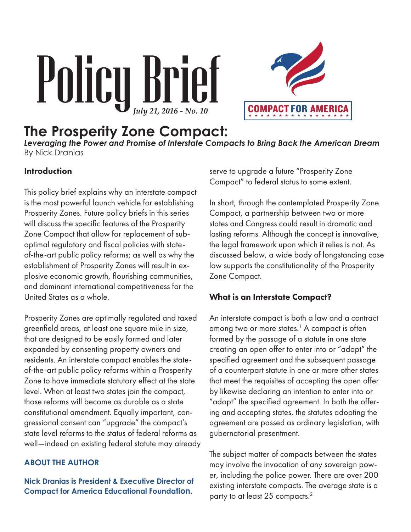# Policy Brief *July 21, 2016 - No. 10*



# **The Prosperity Zone Compact:**

*Leveraging the Power and Promise of Interstate Compacts to Bring Back the American Dream* By Nick Dranias

#### Introduction

This policy brief explains why an interstate compact is the most powerful launch vehicle for establishing Prosperity Zones. Future policy briefs in this series will discuss the specific features of the Prosperity Zone Compact that allow for replacement of suboptimal regulatory and fiscal policies with stateof-the-art public policy reforms; as well as why the establishment of Prosperity Zones will result in explosive economic growth, flourishing communities, and dominant international competitiveness for the United States as a whole.

Prosperity Zones are optimally regulated and taxed greenfield areas, at least one square mile in size, that are designed to be easily formed and later expanded by consenting property owners and residents. An interstate compact enables the stateof-the-art public policy reforms within a Prosperity Zone to have immediate statutory effect at the state level. When at least two states join the compact, those reforms will become as durable as a state constitutional amendment. Equally important, congressional consent can "upgrade" the compact's state level reforms to the status of federal reforms as well—indeed an existing federal statute may already

#### **ABOUT THE AUTHOR**

**Nick Dranias is President & Executive Director of Compact for America Educational Foundation.**

serve to upgrade a future "Prosperity Zone Compact" to federal status to some extent.

In short, through the contemplated Prosperity Zone Compact, a partnership between two or more states and Congress could result in dramatic and lasting reforms. Although the concept is innovative, the legal framework upon which it relies is not. As discussed below, a wide body of longstanding case law supports the constitutionality of the Prosperity Zone Compact.

#### What is an Interstate Compact?

An interstate compact is both a law and a contract among two or more states.<sup>1</sup> A compact is often formed by the passage of a statute in one state creating an open offer to enter into or "adopt" the specified agreement and the subsequent passage of a counterpart statute in one or more other states that meet the requisites of accepting the open offer by likewise declaring an intention to enter into or "adopt" the specified agreement. In both the offering and accepting states, the statutes adopting the agreement are passed as ordinary legislation, with gubernatorial presentment.

The subject matter of compacts between the states may involve the invocation of any sovereign power, including the police power. There are over 200 existing interstate compacts. The average state is a party to at least 25 compacts.<sup>2</sup>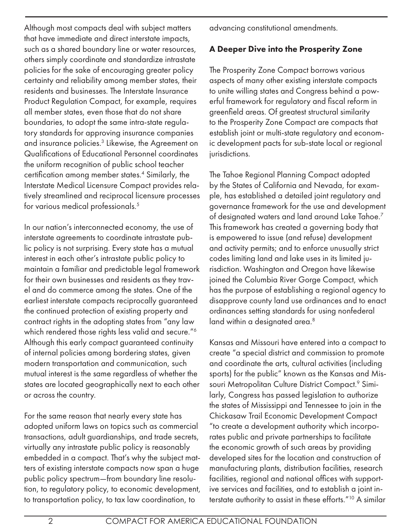Although most compacts deal with subject matters that have immediate and direct interstate impacts, such as a shared boundary line or water resources, others simply coordinate and standardize intrastate policies for the sake of encouraging greater policy certainty and reliability among member states, their residents and businesses. The Interstate Insurance Product Regulation Compact, for example, requires all member states, even those that do not share boundaries, to adopt the same intra-state regulatory standards for approving insurance companies and insurance policies.<sup>3</sup> Likewise, the Agreement on Qualifications of Educational Personnel coordinates the uniform recognition of public school teacher certification among member states.<sup>4</sup> Similarly, the Interstate Medical Licensure Compact provides relatively streamlined and reciprocal licensure processes for various medical professionals.<sup>5</sup>

In our nation's interconnected economy, the use of interstate agreements to coordinate intrastate public policy is not surprising. Every state has a mutual interest in each other's intrastate public policy to maintain a familiar and predictable legal framework for their own businesses and residents as they travel and do commerce among the states. One of the earliest interstate compacts reciprocally guaranteed the continued protection of existing property and contract rights in the adopting states from "any law which rendered those rights less valid and secure."<sup>6</sup> Although this early compact guaranteed continuity of internal policies among bordering states, given modern transportation and communication, such mutual interest is the same regardless of whether the states are located geographically next to each other or across the country.

For the same reason that nearly every state has adopted uniform laws on topics such as commercial transactions, adult guardianships, and trade secrets, virtually any intrastate public policy is reasonably embedded in a compact. That's why the subject matters of existing interstate compacts now span a huge public policy spectrum—from boundary line resolution, to regulatory policy, to economic development, to transportation policy, to tax law coordination, to

advancing constitutional amendments.

#### A Deeper Dive into the Prosperity Zone

The Prosperity Zone Compact borrows various aspects of many other existing interstate compacts to unite willing states and Congress behind a powerful framework for regulatory and fiscal reform in greenfield areas. Of greatest structural similarity to the Prosperity Zone Compact are compacts that establish joint or multi-state regulatory and economic development pacts for sub-state local or regional jurisdictions.

The Tahoe Regional Planning Compact adopted by the States of California and Nevada, for example, has established a detailed joint regulatory and governance framework for the use and development of designated waters and land around Lake Tahoe.<sup>7</sup> This framework has created a governing body that is empowered to issue (and refuse) development and activity permits; and to enforce unusually strict codes limiting land and lake uses in its limited jurisdiction. Washington and Oregon have likewise joined the Columbia River Gorge Compact, which has the purpose of establishing a regional agency to disapprove county land use ordinances and to enact ordinances setting standards for using nonfederal land within a designated area.<sup>8</sup>

Kansas and Missouri have entered into a compact to create "a special district and commission to promote and coordinate the arts, cultural activities (including sports) for the public" known as the Kansas and Missouri Metropolitan Culture District Compact.<sup>9</sup> Similarly, Congress has passed legislation to authorize the states of Mississippi and Tennessee to join in the Chickasaw Trail Economic Development Compact "to create a development authority which incorporates public and private partnerships to facilitate the economic growth of such areas by providing developed sites for the location and construction of manufacturing plants, distribution facilities, research facilities, regional and national offices with supportive services and facilities, and to establish a joint interstate authority to assist in these efforts."10 A similar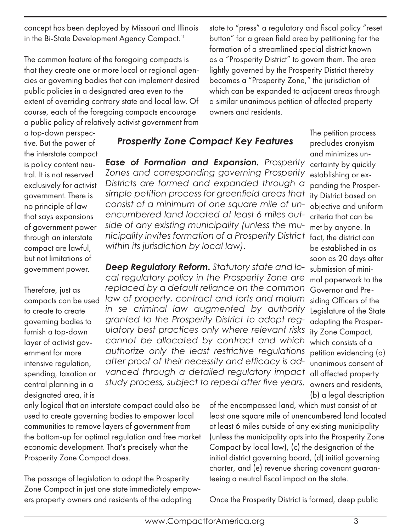concept has been deployed by Missouri and Illinois in the Bi-State Development Agency Compact.<sup>11</sup>

The common feature of the foregoing compacts is that they create one or more local or regional agencies or governing bodies that can implement desired public policies in a designated area even to the extent of overriding contrary state and local law. Of course, each of the foregoing compacts encourage a public policy of relatively activist government from

state to "press" a regulatory and fiscal policy "reset button" for a green field area by petitioning for the formation of a streamlined special district known as a "Prosperity District" to govern them. The area lightly governed by the Prosperity District thereby becomes a "Prosperity Zone," the jurisdiction of which can be expanded to adjacent areas through a similar unanimous petition of affected property owners and residents.

a top-down perspective. But the power of the interstate compact is policy content neutral. It is not reserved exclusively for activist government. There is no principle of law that says expansions of government power through an interstate compact are lawful, but not limitations of government power.

Therefore, just as compacts can be used to create to create governing bodies to furnish a top-down layer of activist government for more intensive regulation, spending, taxation or central planning in a designated area, it is

#### *Prosperity Zone Compact Key Features*

*Ease of Formation and Expansion. Prosperity Zones and corresponding governing Prosperity Districts are formed and expanded through a simple petition process for greenfield areas that consist of a minimum of one square mile of unencumbered land located at least 6 miles outside of any existing municipality (unless the municipality invites formation of a Prosperity District within its jurisdiction by local law).*

*Deep Regulatory Reform. Statutory state and local regulatory policy in the Prosperity Zone are replaced by a default reliance on the common law of property, contract and torts and malum in se criminal law augmented by authority granted to the Prosperity District to adopt regulatory best practices only where relevant risks cannot be allocated by contract and which authorize only the least restrictive regulations after proof of their necessity and efficacy is advanced through a detailed regulatory impact study process, subject to repeal after five years.*

only logical that an interstate compact could also be used to create governing bodies to empower local communities to remove layers of government from the bottom-up for optimal regulation and free market economic development. That's precisely what the Prosperity Zone Compact does.

The passage of legislation to adopt the Prosperity Zone Compact in just one state immediately empowers property owners and residents of the adopting

and minimizes uncertainty by quickly establishing or expanding the Prosperity District based on objective and uniform criteria that can be met by anyone. In fact, the district can be established in as soon as 20 days after submission of minimal paperwork to the Governor and Presiding Officers of the Legislature of the State adopting the Prosperity Zone Compact, which consists of a petition evidencing (a) unanimous consent of all affected property owners and residents, (b) a legal description

The petition process precludes cronyism

of the encompassed land, which must consist of at least one square mile of unencumbered land located at least 6 miles outside of any existing municipality (unless the municipality opts into the Prosperity Zone Compact by local law), (c) the designation of the initial district governing board, (d) initial governing charter, and (e) revenue sharing covenant guaranteeing a neutral fiscal impact on the state.

Once the Prosperity District is formed, deep public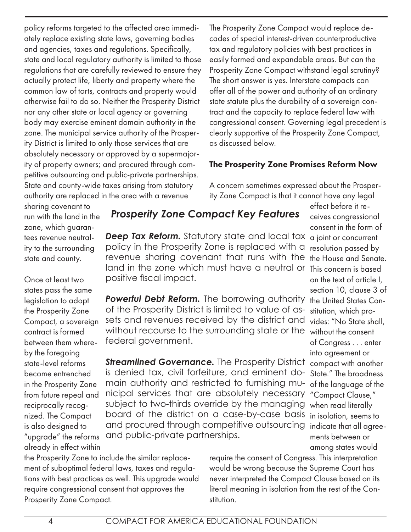policy reforms targeted to the affected area immediately replace existing state laws, governing bodies and agencies, taxes and regulations. Specifically, state and local regulatory authority is limited to those regulations that are carefully reviewed to ensure they actually protect life, liberty and property where the common law of torts, contracts and property would otherwise fail to do so. Neither the Prosperity District nor any other state or local agency or governing body may exercise eminent domain authority in the zone. The municipal service authority of the Prosperity District is limited to only those services that are absolutely necessary or approved by a supermajority of property owners; and procured through competitive outsourcing and public-private partnerships. State and county-wide taxes arising from statutory authority are replaced in the area with a revenue

The Prosperity Zone Compact would replace decades of special interest-driven counterproductive tax and regulatory policies with best practices in easily formed and expandable areas. But can the Prosperity Zone Compact withstand legal scrutiny? The short answer is yes. Interstate compacts can offer all of the power and authority of an ordinary state statute plus the durability of a sovereign contract and the capacity to replace federal law with congressional consent. Governing legal precedent is clearly supportive of the Prosperity Zone Compact, as discussed below.

#### The Prosperity Zone Promises Reform Now

A concern sometimes expressed about the Prosperity Zone Compact is that it cannot have any legal

sharing covenant to run with the land in the zone, which guarantees revenue neutrality to the surrounding state and county.

Once at least two states pass the same legislation to adopt the Prosperity Zone Compact, a sovereign contract is formed between them whereby the foregoing state-level reforms become entrenched in the Prosperity Zone from future repeal and reciprocally recognized. The Compact is also designed to "upgrade" the reforms already in effect within

## *Prosperity Zone Compact Key Features*

**Deep Tax Reform.** Statutory state and local tax a joint or concurrent policy in the Prosperity Zone is replaced with a revenue sharing covenant that runs with the land in the zone which must have a neutral or positive fiscal impact.

**Powerful Debt Reform.** The borrowing authority of the Prosperity District is limited to value of assets and revenues received by the district and without recourse to the surrounding state or the federal government.

*Streamlined Governance.* The Prosperity District is denied tax, civil forfeiture, and eminent domain authority and restricted to furnishing municipal services that are absolutely necessary subject to two-thirds override by the managing board of the district on a case-by-case basis and procured through competitive outsourcing and public-private partnerships.

the Prosperity Zone to include the similar replacement of suboptimal federal laws, taxes and regulations with best practices as well. This upgrade would require congressional consent that approves the Prosperity Zone Compact.

effect before it receives congressional consent in the form of resolution passed by the House and Senate. This concern is based on the text of article I, section 10, clause 3 of the United States Constitution, which provides: "No State shall, without the consent of Congress . . . enter into agreement or compact with another State." The broadness of the language of the "Compact Clause," when read literally in isolation, seems to indicate that all agreements between or among states would

require the consent of Congress. This interpretation would be wrong because the Supreme Court has never interpreted the Compact Clause based on its literal meaning in isolation from the rest of the Constitution.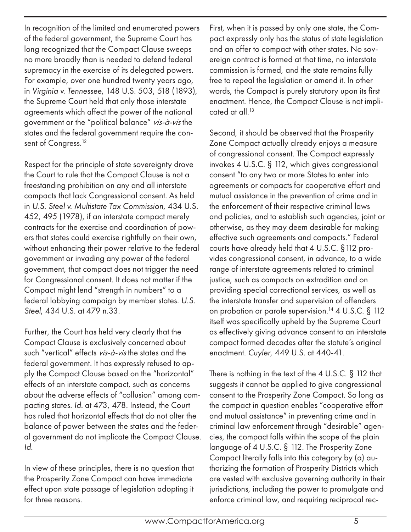In recognition of the limited and enumerated powers of the federal government, the Supreme Court has long recognized that the Compact Clause sweeps no more broadly than is needed to defend federal supremacy in the exercise of its delegated powers. For example, over one hundred twenty years ago, in *Virginia v. Tennessee*, 148 U.S. 503, 518 (1893), the Supreme Court held that only those interstate agreements which affect the power of the national government or the "political balance" vis-à-vis the states and the federal government require the consent of Congress.<sup>12</sup>

Respect for the principle of state sovereignty drove the Court to rule that the Compact Clause is not a freestanding prohibition on any and all interstate compacts that lack Congressional consent. As held in *U.S. Steel v. Multistate Tax Commission*, 434 U.S. 452, 495 (1978), if an interstate compact merely contracts for the exercise and coordination of powers that states could exercise rightfully on their own, without enhancing their power relative to the federal government or invading any power of the federal government, that compact does not trigger the need for Congressional consent. It does not matter if the Compact might lend "strength in numbers" to a federal lobbying campaign by member states. *U.S. Steel*, 434 U.S. at 479 n.33.

Further, the Court has held very clearly that the Compact Clause is exclusively concerned about such "vertical" effects *vis-à-vis* the states and the federal government. It has expressly refused to apply the Compact Clause based on the "horizontal" effects of an interstate compact, such as concerns about the adverse effects of "collusion" among compacting states. *Id.* at 473, 478. Instead, the Court has ruled that horizontal effects that do not alter the balance of power between the states and the federal government do not implicate the Compact Clause. *Id.*

In view of these principles, there is no question that the Prosperity Zone Compact can have immediate effect upon state passage of legislation adopting it for three reasons.

First, when it is passed by only one state, the Compact expressly only has the status of state legislation and an offer to compact with other states. No sovereign contract is formed at that time, no interstate commission is formed, and the state remains fully free to repeal the legislation or amend it. In other words, the Compact is purely statutory upon its first enactment. Hence, the Compact Clause is not implicated at all.<sup>13</sup>

Second, it should be observed that the Prosperity Zone Compact actually already enjoys a measure of congressional consent. The Compact expressly invokes 4 U.S.C. § 112, which gives congressional consent "to any two or more States to enter into agreements or compacts for cooperative effort and mutual assistance in the prevention of crime and in the enforcement of their respective criminal laws and policies, and to establish such agencies, joint or otherwise, as they may deem desirable for making effective such agreements and compacts." Federal courts have already held that 4 U.S.C. §112 provides congressional consent, in advance, to a wide range of interstate agreements related to criminal justice, such as compacts on extradition and on providing special correctional services, as well as the interstate transfer and supervision of offenders on probation or parole supervision.<sup>14</sup> 4 U.S.C.  $\S$  112 itself was specifically upheld by the Supreme Court as effectively giving advance consent to an interstate compact formed decades after the statute's original enactment. *Cuyler*, 449 U.S. at 440-41.

There is nothing in the text of the 4 U.S.C. § 112 that suggests it cannot be applied to give congressional consent to the Prosperity Zone Compact. So long as the compact in question enables "cooperative effort and mutual assistance" in preventing crime and in criminal law enforcement through "desirable" agencies, the compact falls within the scope of the plain language of 4 U.S.C. § 112. The Prosperity Zone Compact literally falls into this category by (a) authorizing the formation of Prosperity Districts which are vested with exclusive governing authority in their jurisdictions, including the power to promulgate and enforce criminal law, and requiring reciprocal rec-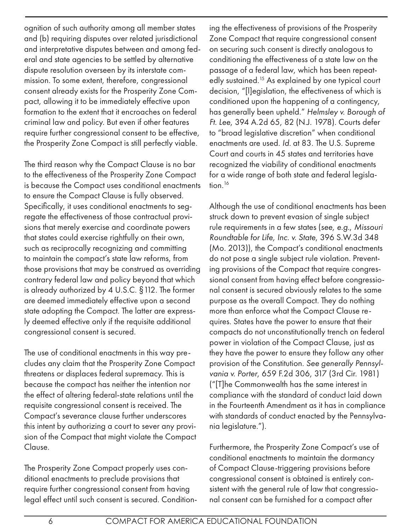ognition of such authority among all member states and (b) requiring disputes over related jurisdictional and interpretative disputes between and among federal and state agencies to be settled by alternative dispute resolution overseen by its interstate commission. To some extent, therefore, congressional consent already exists for the Prosperity Zone Compact, allowing it to be immediately effective upon formation to the extent that it encroaches on federal criminal law and policy. But even if other features require further congressional consent to be effective, the Prosperity Zone Compact is still perfectly viable.

The third reason why the Compact Clause is no bar to the effectiveness of the Prosperity Zone Compact is because the Compact uses conditional enactments to ensure the Compact Clause is fully observed. Specifically, it uses conditional enactments to segregate the effectiveness of those contractual provisions that merely exercise and coordinate powers that states could exercise rightfully on their own, such as reciprocally recognizing and committing to maintain the compact's state law reforms, from those provisions that may be construed as overriding contrary federal law and policy beyond that which is already authorized by 4 U.S.C. §112. The former are deemed immediately effective upon a second state adopting the Compact. The latter are expressly deemed effective only if the requisite additional congressional consent is secured.

The use of conditional enactments in this way precludes any claim that the Prosperity Zone Compact threatens or displaces federal supremacy. This is because the compact has neither the intention nor the effect of altering federal-state relations until the requisite congressional consent is received. The Compact's severance clause further underscores this intent by authorizing a court to sever any provision of the Compact that might violate the Compact Clause.

The Prosperity Zone Compact properly uses conditional enactments to preclude provisions that require further congressional consent from having legal effect until such consent is secured. Condition-

ing the effectiveness of provisions of the Prosperity Zone Compact that require congressional consent on securing such consent is directly analogous to conditioning the effectiveness of a state law on the passage of a federal law, which has been repeatedly sustained.<sup>15</sup> As explained by one typical court decision, "[l]egislation, the effectiveness of which is conditioned upon the happening of a contingency, has generally been upheld." *Helmsley v. Borough of Ft. Lee*, 394 A.2d 65, 82 (N.J. 1978). Courts defer to "broad legislative discretion" when conditional enactments are used. *Id.* at 83. The U.S. Supreme Court and courts in 45 states and territories have recognized the viability of conditional enactments for a wide range of both state and federal legislation.<sup>16</sup>

Although the use of conditional enactments has been struck down to prevent evasion of single subject rule requirements in a few states (*see, e.g.*, *Missouri Roundtable for Life, Inc. v. State*, 396 S.W.3d 348 (Mo. 2013)), the Compact's conditional enactments do not pose a single subject rule violation. Preventing provisions of the Compact that require congressional consent from having effect before congressional consent is secured obviously relates to the same purpose as the overall Compact. They do nothing more than enforce what the Compact Clause requires. States have the power to ensure that their compacts do not unconstitutionally trench on federal power in violation of the Compact Clause, just as they have the power to ensure they follow any other provision of the Constitution. *See generally Pennsylvania v. Porter*, 659 F.2d 306, 317 (3rd Cir. 1981) ("[T]he Commonwealth has the same interest in compliance with the standard of conduct laid down in the Fourteenth Amendment as it has in compliance with standards of conduct enacted by the Pennsylvania legislature.").

Furthermore, the Prosperity Zone Compact's use of conditional enactments to maintain the dormancy of Compact Clause-triggering provisions before congressional consent is obtained is entirely consistent with the general rule of law that congressional consent can be furnished for a compact after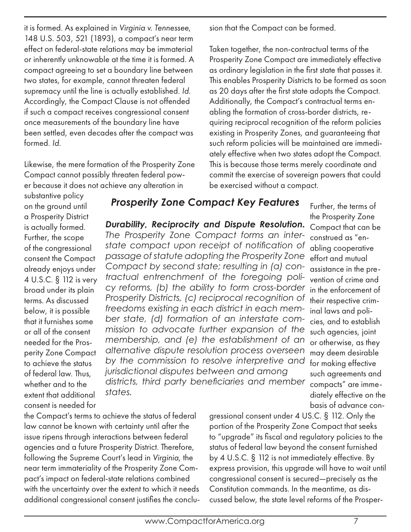it is formed. As explained in *Virginia v. Tennessee*, 148 U.S. 503, 521 (1893), a compact's near term effect on federal-state relations may be immaterial or inherently unknowable at the time it is formed. A compact agreeing to set a boundary line between two states, for example, cannot threaten federal supremacy until the line is actually established. *Id.* Accordingly, the Compact Clause is not offended if such a compact receives congressional consent once measurements of the boundary line have been settled, even decades after the compact was formed. *Id.*

Likewise, the mere formation of the Prosperity Zone Compact cannot possibly threaten federal power because it does not achieve any alteration in

sion that the Compact can be formed.

Taken together, the non-contractual terms of the Prosperity Zone Compact are immediately effective as ordinary legislation in the first state that passes it. This enables Prosperity Districts to be formed as soon as 20 days after the first state adopts the Compact. Additionally, the Compact's contractual terms enabling the formation of cross-border districts, requiring reciprocal recognition of the reform policies existing in Prosperity Zones, and guaranteeing that such reform policies will be maintained are immediately effective when two states adopt the Compact. This is because those terms merely coordinate and commit the exercise of sovereign powers that could be exercised without a compact.

substantive policy on the ground until a Prosperity District is actually formed. Further, the scope of the congressional consent the Compact already enjoys under 4 U.S.C. § 112 is very broad under its plain terms. As discussed below, it is possible that it furnishes some or all of the consent needed for the Prosperity Zone Compact to achieve the status of federal law. Thus, whether and to the extent that additional consent is needed for

## *Prosperity Zone Compact Key Features*

*Durability, Reciprocity and Dispute Resolution. The Prosperity Zone Compact forms an interstate compact upon receipt of notification of passage of statute adopting the Prosperity Zone Compact by second state; resulting in (a) contractual entrenchment of the foregoing policy reforms, (b) the ability to form cross-border Prosperity Districts, (c) reciprocal recognition of freedoms existing in each district in each member state, (d) formation of an interstate commission to advocate further expansion of the membership, and (e) the establishment of an alternative dispute resolution process overseen by the commission to resolve interpretive and jurisdictional disputes between and among districts, third party beneficiaries and member states.*

Further, the terms of the Prosperity Zone Compact that can be construed as "enabling cooperative effort and mutual assistance in the prevention of crime and in the enforcement of their respective criminal laws and policies, and to establish such agencies, joint or otherwise, as they may deem desirable for making effective such agreements and compacts" are immediately effective on the basis of advance con-

the Compact's terms to achieve the status of federal law cannot be known with certainty until after the issue ripens through interactions between federal agencies and a future Prosperity District. Therefore, following the Supreme Court's lead in *Virginia*, the near term immateriality of the Prosperity Zone Compact's impact on federal-state relations combined with the uncertainty over the extent to which it needs additional congressional consent justifies the conclu-

gressional consent under 4 US.C. § 112. Only the portion of the Prosperity Zone Compact that seeks to "upgrade" its fiscal and regulatory policies to the status of federal law beyond the consent furnished by 4 U.S.C. § 112 is not immediately effective. By express provision, this upgrade will have to wait until congressional consent is secured—precisely as the Constitution commands. In the meantime, as discussed below, the state level reforms of the Prosper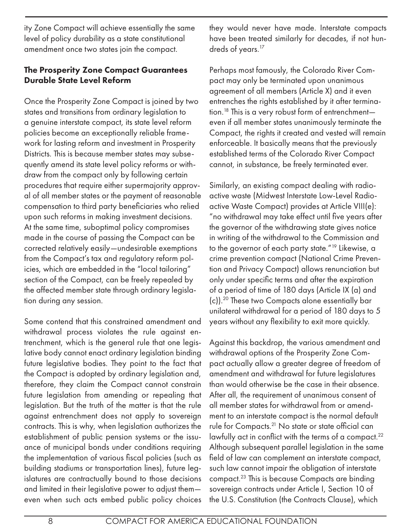ity Zone Compact will achieve essentially the same level of policy durability as a state constitutional amendment once two states join the compact.

#### The Prosperity Zone Compact Guarantees Durable State Level Reform

Once the Prosperity Zone Compact is joined by two states and transitions from ordinary legislation to a genuine interstate compact, its state level reform policies become an exceptionally reliable framework for lasting reform and investment in Prosperity Districts. This is because member states may subsequently amend its state level policy reforms or withdraw from the compact only by following certain procedures that require either supermajority approval of all member states or the payment of reasonable compensation to third party beneficiaries who relied upon such reforms in making investment decisions. At the same time, suboptimal policy compromises made in the course of passing the Compact can be corrected relatively easily—undesirable exemptions from the Compact's tax and regulatory reform policies, which are embedded in the "local tailoring" section of the Compact, can be freely repealed by the affected member state through ordinary legislation during any session.

Some contend that this constrained amendment and withdrawal process violates the rule against entrenchment, which is the general rule that one legislative body cannot enact ordinary legislation binding future legislative bodies. They point to the fact that the Compact is adopted by ordinary legislation and, therefore, they claim the Compact cannot constrain future legislation from amending or repealing that legislation. But the truth of the matter is that the rule against entrenchment does not apply to sovereign contracts. This is why, when legislation authorizes the establishment of public pension systems or the issuance of municipal bonds under conditions requiring the implementation of various fiscal policies (such as building stadiums or transportation lines), future legislatures are contractually bound to those decisions and limited in their legislative power to adjust them even when such acts embed public policy choices they would never have made. Interstate compacts have been treated similarly for decades, if not hundreds of years.<sup>17</sup>

Perhaps most famously, the Colorado River Compact may only be terminated upon unanimous agreement of all members (Article X) and it even entrenches the rights established by it after termination.18 This is a very robust form of entrenchment even if all member states unanimously terminate the Compact, the rights it created and vested will remain enforceable. It basically means that the previously established terms of the Colorado River Compact cannot, in substance, be freely terminated ever.

Similarly, an existing compact dealing with radioactive waste (Midwest Interstate Low-Level Radioactive Waste Compact) provides at Article VIII(e): "no withdrawal may take effect until five years after the governor of the withdrawing state gives notice in writing of the withdrawal to the Commission and to the governor of each party state."19 Likewise, a crime prevention compact (National Crime Prevention and Privacy Compact) allows renunciation but only under specific terms and after the expiration of a period of time of 180 days (Article IX (a) and (c)).20 These two Compacts alone essentially bar unilateral withdrawal for a period of 180 days to 5 years without any flexibility to exit more quickly.

Against this backdrop, the various amendment and withdrawal options of the Prosperity Zone Compact actually allow a greater degree of freedom of amendment and withdrawal for future legislatures than would otherwise be the case in their absence. After all, the requirement of unanimous consent of all member states for withdrawal from or amendment to an interstate compact is the normal default rule for Compacts.21 No state or state official can lawfully act in conflict with the terms of a compact.<sup>22</sup> Although subsequent parallel legislation in the same field of law can complement an interstate compact, such law cannot impair the obligation of interstate compact.23 This is because Compacts are binding sovereign contracts under Article I, Section 10 of the U.S. Constitution (the Contracts Clause), which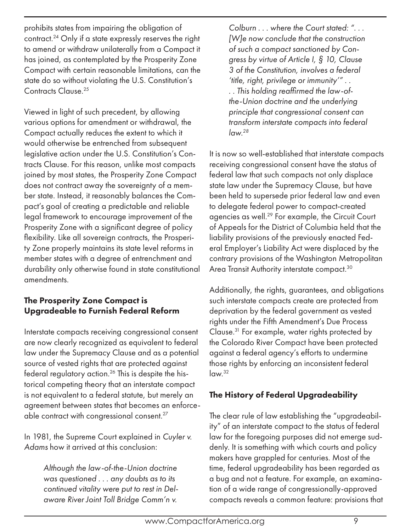prohibits states from impairing the obligation of contract.24 Only if a state expressly reserves the right to amend or withdraw unilaterally from a Compact it has joined, as contemplated by the Prosperity Zone Compact with certain reasonable limitations, can the state do so without violating the U.S. Constitution's Contracts Clause.25

Viewed in light of such precedent, by allowing various options for amendment or withdrawal, the Compact actually reduces the extent to which it would otherwise be entrenched from subsequent legislative action under the U.S. Constitution's Contracts Clause. For this reason, unlike most compacts joined by most states, the Prosperity Zone Compact does not contract away the sovereignty of a member state. Instead, it reasonably balances the Compact's goal of creating a predictable and reliable legal framework to encourage improvement of the Prosperity Zone with a significant degree of policy flexibility. Like all sovereign contracts, the Prosperity Zone properly maintains its state level reforms in member states with a degree of entrenchment and durability only otherwise found in state constitutional amendments.

#### The Prosperity Zone Compact is Upgradeable to Furnish Federal Reform

Interstate compacts receiving congressional consent are now clearly recognized as equivalent to federal law under the Supremacy Clause and as a potential source of vested rights that are protected against federal regulatory action.<sup>26</sup> This is despite the historical competing theory that an interstate compact is not equivalent to a federal statute, but merely an agreement between states that becomes an enforceable contract with congressional consent.<sup>27</sup>

In 1981, the Supreme Court explained in *Cuyler v. Adams* how it arrived at this conclusion:

> *Although the law-of-the-Union doctrine was questioned . . . any doubts as to its continued vitality were put to rest in Delaware River Joint Toll Bridge Comm'n v.*

*Colburn . . . where the Court stated: ". . . [W]e now conclude that the construction of such a compact sanctioned by Congress by virtue of Article I, § 10, Clause 3 of the Constitution, involves a federal 'title, right, privilege or immunity'" . . . . This holding reaffirmed the law-ofthe-Union doctrine and the underlying principle that congressional consent can transform interstate compacts into federal law.28*

It is now so well-established that interstate compacts receiving congressional consent have the status of federal law that such compacts not only displace state law under the Supremacy Clause, but have been held to supersede prior federal law and even to delegate federal power to compact-created agencies as well.29 For example, the Circuit Court of Appeals for the District of Columbia held that the liability provisions of the previously enacted Federal Employer's Liability Act were displaced by the contrary provisions of the Washington Metropolitan Area Transit Authority interstate compact.<sup>30</sup>

Additionally, the rights, guarantees, and obligations such interstate compacts create are protected from deprivation by the federal government as vested rights under the Fifth Amendment's Due Process Clause.31 For example, water rights protected by the Colorado River Compact have been protected against a federal agency's efforts to undermine those rights by enforcing an inconsistent federal law.<sup>32</sup>

#### The History of Federal Upgradeability

The clear rule of law establishing the "upgradeability" of an interstate compact to the status of federal law for the foregoing purposes did not emerge suddenly. It is something with which courts and policy makers have grappled for centuries. Most of the time, federal upgradeability has been regarded as a bug and not a feature. For example, an examination of a wide range of congressionally-approved compacts reveals a common feature: provisions that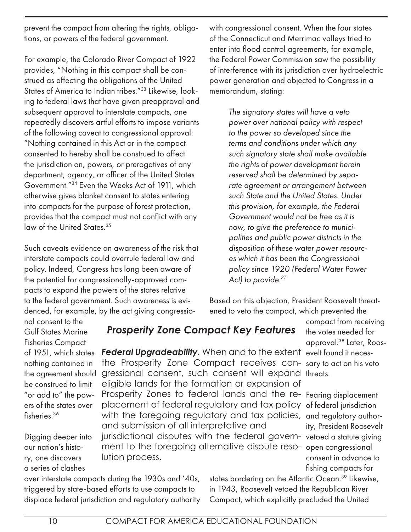prevent the compact from altering the rights, obligations, or powers of the federal government.

For example, the Colorado River Compact of 1922 provides, "Nothing in this compact shall be construed as affecting the obligations of the United States of America to Indian tribes."33 Likewise, looking to federal laws that have given preapproval and subsequent approval to interstate compacts, one repeatedly discovers artful efforts to impose variants of the following caveat to congressional approval: "Nothing contained in this Act or in the compact consented to hereby shall be construed to affect the jurisdiction on, powers, or prerogatives of any department, agency, or officer of the United States Government."34 Even the Weeks Act of 1911, which otherwise gives blanket consent to states entering into compacts for the purpose of forest protection, provides that the compact must not conflict with any law of the United States.<sup>35</sup>

Such caveats evidence an awareness of the risk that interstate compacts could overrule federal law and policy. Indeed, Congress has long been aware of the potential for congressionally-approved compacts to expand the powers of the states relative to the federal government. Such awareness is evidenced, for example, by the act giving congressiowith congressional consent. When the four states of the Connecticut and Merrimac valleys tried to enter into flood control agreements, for example, the Federal Power Commission saw the possibility of interference with its jurisdiction over hydroelectric power generation and objected to Congress in a memorandum, stating:

> *The signatory states will have a veto power over national policy with respect to the power so developed since the terms and conditions under which any such signatory state shall make available the rights of power development herein reserved shall be determined by separate agreement or arrangement between such State and the United States. Under this provision, for example, the Federal Government would not be free as it is now, to give the preference to municipalities and public power districts in the disposition of these water power resources which it has been the Congressional policy since 1920 (Federal Water Power Act) to provide.37*

Based on this objection, President Roosevelt threatened to veto the compact, which prevented the

nal consent to the Gulf States Marine Fisheries Compact of 1951, which states nothing contained in be construed to limit "or add to" the powers of the states over fisheries.<sup>36</sup>

Digging deeper into our nation's history, one discovers a series of clashes

# *Prosperity Zone Compact Key Features*

**Federal Upgradeability.** When and to the extent evelt found it necesthe Prosperity Zone Compact receives con-sary to act on his veto the agreement should gressional consent, such consent will expand threats. Prosperity Zones to federal lands and the re- Fearing displacement placement of federal regulatory and tax policy of federal jurisdiction with the foregoing regulatory and tax policies, and regulatory authorjurisdictional disputes with the federal govern- vetoed a statute giving ment to the foregoing alternative dispute reso- open congressional eligible lands for the formation or expansion of and submission of all interpretative and lution process.

over interstate compacts during the 1930s and '40s, triggered by state-based efforts to use compacts to displace federal jurisdiction and regulatory authority compact from receiving the votes needed for approval.38 Later, Roos-

ity, President Roosevelt consent in advance to fishing compacts for

states bordering on the Atlantic Ocean.<sup>39</sup> Likewise, in 1943, Roosevelt vetoed the Republican River Compact, which explicitly precluded the United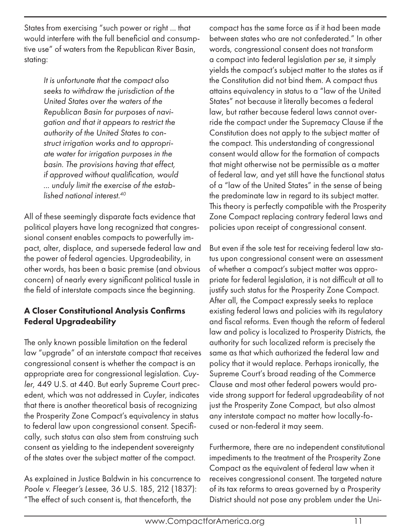States from exercising "such power or right ... that would interfere with the full beneficial and consumptive use" of waters from the Republican River Basin, stating:

> *It is unfortunate that the compact also seeks to withdraw the jurisdiction of the United States over the waters of the Republican Basin for purposes of navigation and that it appears to restrict the authority of the United States to construct irrigation works and to appropriate water for irrigation purposes in the basin. The provisions having that effect, if approved without qualification, would ... unduly limit the exercise of the established national interest.40*

All of these seemingly disparate facts evidence that political players have long recognized that congressional consent enables compacts to powerfully impact, alter, displace, and supersede federal law and the power of federal agencies. Upgradeability, in other words, has been a basic premise (and obvious concern) of nearly every significant political tussle in the field of interstate compacts since the beginning.

#### A Closer Constitutional Analysis Confirms Federal Upgradeability

The only known possible limitation on the federal law "upgrade" of an interstate compact that receives congressional consent is whether the compact is an appropriate area for congressional legislation. *Cuyler*, 449 U.S. at 440. But early Supreme Court precedent, which was not addressed in *Cuyler*, indicates that there is another theoretical basis of recognizing the Prosperity Zone Compact's equivalency in status to federal law upon congressional consent. Specifically, such status can also stem from construing such consent as yielding to the independent sovereignty of the states over the subject matter of the compact.

As explained in Justice Baldwin in his concurrence to *Poole v. Fleeger's Lessee*, 36 U.S. 185, 212 (1837): "The effect of such consent is, that thenceforth, the

compact has the same force as if it had been made between states who are not confederated." In other words, congressional consent does not transform a compact into federal legislation *per se*, it simply yields the compact's subject matter to the states as if the Constitution did not bind them. A compact thus attains equivalency in status to a "law of the United States" not because it literally becomes a federal law, but rather because federal laws cannot override the compact under the Supremacy Clause if the Constitution does not apply to the subject matter of the compact. This understanding of congressional consent would allow for the formation of compacts that might otherwise not be permissible as a matter of federal law, and yet still have the functional status of a "law of the United States" in the sense of being the predominate law in regard to its subject matter. This theory is perfectly compatible with the Prosperity Zone Compact replacing contrary federal laws and policies upon receipt of congressional consent.

But even if the sole test for receiving federal law status upon congressional consent were an assessment of whether a compact's subject matter was appropriate for federal legislation, it is not difficult at all to justify such status for the Prosperity Zone Compact. After all, the Compact expressly seeks to replace existing federal laws and policies with its regulatory and fiscal reforms. Even though the reform of federal law and policy is localized to Prosperity Districts, the authority for such localized reform is precisely the same as that which authorized the federal law and policy that it would replace. Perhaps ironically, the Supreme Court's broad reading of the Commerce Clause and most other federal powers would provide strong support for federal upgradeability of not just the Prosperity Zone Compact, but also almost any interstate compact no matter how locally-focused or non-federal it may seem.

Furthermore, there are no independent constitutional impediments to the treatment of the Prosperity Zone Compact as the equivalent of federal law when it receives congressional consent. The targeted nature of its tax reforms to areas governed by a Prosperity District should not pose any problem under the Uni-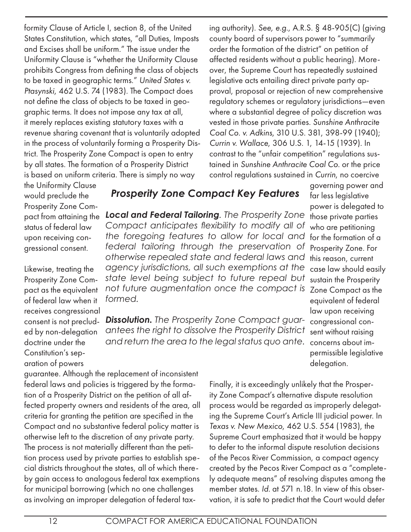formity Clause of Article I, section 8, of the United States Constitution, which states, "all Duties, Imposts and Excises shall be uniform." The issue under the Uniformity Clause is "whether the Uniformity Clause prohibits Congress from defining the class of objects to be taxed in geographic terms." *United States v. Ptasynski*, 462 U.S. 74 (1983). The Compact does not define the class of objects to be taxed in geographic terms. It does not impose any tax at all, it merely replaces existing statutory taxes with a revenue sharing covenant that is voluntarily adopted in the process of voluntarily forming a Prosperity District. The Prosperity Zone Compact is open to entry by all states. The formation of a Prosperity District is based on uniform criteria. There is simply no way

ing authority). *See, e.g.*, A.R.S. § 48-905(C) (giving county board of supervisors power to "summarily order the formation of the district" on petition of affected residents without a public hearing). Moreover, the Supreme Court has repeatedly sustained legislative acts entailing direct private party approval, proposal or rejection of new comprehensive regulatory schemes or regulatory jurisdictions—even where a substantial degree of policy discretion was vested in those private parties. *Sunshine Anthracite Coal Co. v. Adkins*, 310 U.S. 381, 398-99 (1940); *Currin v. Wallace*, 306 U.S. 1, 14-15 (1939). In contrast to the "unfair competition" regulations sustained in *Sunshine Anthracite Coal Co.* or the price control regulations sustained in *Currin*, no coercive

the Uniformity Clause would preclude the Prosperity Zone Compact from attaining the status of federal law upon receiving congressional consent.

Likewise, treating the Prosperity Zone Compact as the equivalent of federal law when it receives congressional consent is not precluded by non-delegation doctrine under the Constitution's separation of powers

*Prosperity Zone Compact Key Features*

*Local and Federal Tailoring. The Prosperity Zone Compact anticipates flexibility to modify all of the foregoing features to allow for local and federal tailoring through the preservation of otherwise repealed state and federal laws and agency jurisdictions, all such exemptions at the state level being subject to future repeal but not future augmentation once the compact is formed.*

*Dissolution. The Prosperity Zone Compact guarantees the right to dissolve the Prosperity District and return the area to the legal status quo ante.*

guarantee. Although the replacement of inconsistent federal laws and policies is triggered by the formation of a Prosperity District on the petition of all affected property owners and residents of the area, all criteria for granting the petition are specified in the Compact and no substantive federal policy matter is otherwise left to the discretion of any private party. The process is not materially different than the petition process used by private parties to establish special districts throughout the states, all of which thereby gain access to analogous federal tax exemptions for municipal borrowing (which no one challenges as involving an improper delegation of federal tax-

governing power and far less legislative power is delegated to those private parties who are petitioning for the formation of a Prosperity Zone. For this reason, current case law should easily sustain the Prosperity Zone Compact as the equivalent of federal law upon receiving congressional consent without raising concerns about impermissible legislative delegation.

Finally, it is exceedingly unlikely that the Prosperity Zone Compact's alternative dispute resolution process would be regarded as improperly delegating the Supreme Court's Article III judicial power. In *Texas v. New Mexico*, 462 U.S. 554 (1983), the Supreme Court emphasized that it would be happy to defer to the informal dispute resolution decisions of the Pecos River Commission, a compact agency created by the Pecos River Compact as a "completely adequate means" of resolving disputes among the member states. *Id.* at 571 n.18. In view of this observation, it is safe to predict that the Court would defer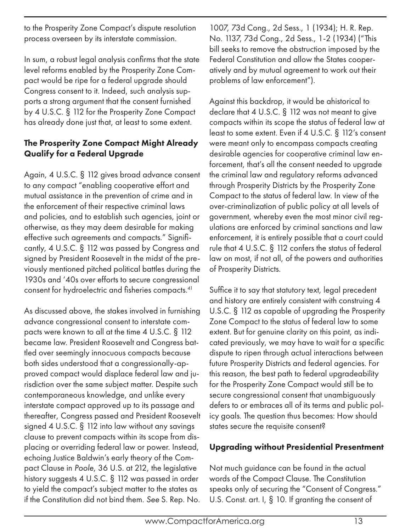to the Prosperity Zone Compact's dispute resolution process overseen by its interstate commission.

In sum, a robust legal analysis confirms that the state level reforms enabled by the Prosperity Zone Compact would be ripe for a federal upgrade should Congress consent to it. Indeed, such analysis supports a strong argument that the consent furnished by 4 U.S.C. § 112 for the Prosperity Zone Compact has already done just that, at least to some extent.

#### The Prosperity Zone Compact Might Already Qualify for a Federal Upgrade

Again, 4 U.S.C. § 112 gives broad advance consent to any compact "enabling cooperative effort and mutual assistance in the prevention of crime and in the enforcement of their respective criminal laws and policies, and to establish such agencies, joint or otherwise, as they may deem desirable for making effective such agreements and compacts." Significantly, 4 U.S.C. § 112 was passed by Congress and signed by President Roosevelt in the midst of the previously mentioned pitched political battles during the 1930s and '40s over efforts to secure congressional consent for hydroelectric and fisheries compacts.41

As discussed above, the stakes involved in furnishing advance congressional consent to interstate compacts were known to all at the time 4 U.S.C. § 112 became law. President Roosevelt and Congress battled over seemingly innocuous compacts because both sides understood that a congressionally-approved compact would displace federal law and jurisdiction over the same subject matter. Despite such contemporaneous knowledge, and unlike every interstate compact approved up to its passage and thereafter, Congress passed and President Roosevelt signed 4 U.S.C. § 112 into law without any savings clause to prevent compacts within its scope from displacing or overriding federal law or power. Instead, echoing Justice Baldwin's early theory of the Compact Clause in *Poole*, 36 U.S. at 212, the legislative history suggests 4 U.S.C. § 112 was passed in order to yield the compact's subject matter to the states as if the Constitution did not bind them. *See* S. Rep. No.

1007, 73d Cong., 2d Sess., 1 (1934); H. R. Rep. No. 1137, 73d Cong., 2d Sess., 1-2 (1934) ("This bill seeks to remove the obstruction imposed by the Federal Constitution and allow the States cooperatively and by mutual agreement to work out their problems of law enforcement").

Against this backdrop, it would be ahistorical to declare that 4 U.S.C. § 112 was not meant to give compacts within its scope the status of federal law at least to some extent. Even if 4 U.S.C. § 112's consent were meant only to encompass compacts creating desirable agencies for cooperative criminal law enforcement, that's all the consent needed to upgrade the criminal law and regulatory reforms advanced through Prosperity Districts by the Prosperity Zone Compact to the status of federal law. In view of the over-criminalization of public policy at all levels of government, whereby even the most minor civil regulations are enforced by criminal sanctions and law enforcement, it is entirely possible that a court could rule that 4 U.S.C. § 112 confers the status of federal law on most, if not all, of the powers and authorities of Prosperity Districts.

Suffice it to say that statutory text, legal precedent and history are entirely consistent with construing 4 U.S.C. § 112 as capable of upgrading the Prosperity Zone Compact to the status of federal law to some extent. But for genuine clarity on this point, as indicated previously, we may have to wait for a specific dispute to ripen through actual interactions between future Prosperity Districts and federal agencies. For this reason, the best path to federal upgradeability for the Prosperity Zone Compact would still be to secure congressional consent that unambiguously defers to or embraces all of its terms and public policy goals. The question thus becomes: How should states secure the requisite consent?

#### Upgrading without Presidential Presentment

Not much guidance can be found in the actual words of the Compact Clause. The Constitution speaks only of securing the "Consent of Congress." U.S. Const. art. I, § 10. If granting the consent of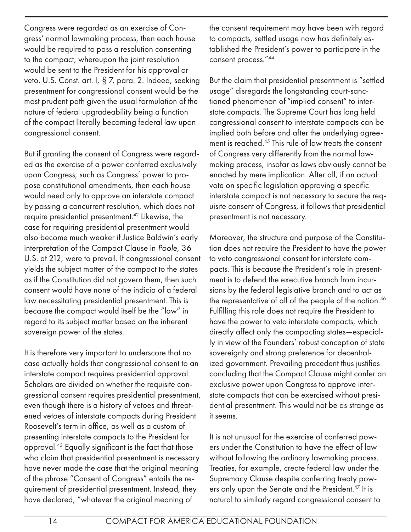Congress were regarded as an exercise of Congress' normal lawmaking process, then each house would be required to pass a resolution consenting to the compact, whereupon the joint resolution would be sent to the President for his approval or veto. U.S. Const. art. I, § 7, para. 2. Indeed, seeking presentment for congressional consent would be the most prudent path given the usual formulation of the nature of federal upgradeability being a function of the compact literally becoming federal law upon congressional consent.

But if granting the consent of Congress were regarded as the exercise of a power conferred exclusively upon Congress, such as Congress' power to propose constitutional amendments, then each house would need only to approve an interstate compact by passing a concurrent resolution, which does not require presidential presentment.<sup>42</sup> Likewise, the case for requiring presidential presentment would also become much weaker if Justice Baldwin's early interpretation of the Compact Clause in *Poole*, 36 U.S. at 212, were to prevail. If congressional consent yields the subject matter of the compact to the states as if the Constitution did not govern them, then such consent would have none of the indicia of a federal law necessitating presidential presentment. This is because the compact would itself be the "law" in regard to its subject matter based on the inherent sovereign power of the states.

It is therefore very important to underscore that no case actually holds that congressional consent to an interstate compact requires presidential approval. Scholars are divided on whether the requisite congressional consent requires presidential presentment, even though there is a history of vetoes and threatened vetoes of interstate compacts during President Roosevelt's term in office, as well as a custom of presenting interstate compacts to the President for approval.43 Equally significant is the fact that those who claim that presidential presentment is necessary have never made the case that the original meaning of the phrase "Consent of Congress" entails the requirement of presidential presentment. Instead, they have declared, "whatever the original meaning of

the consent requirement may have been with regard to compacts, settled usage now has definitely established the President's power to participate in the consent process."44

But the claim that presidential presentment is "settled usage" disregards the longstanding court-sanctioned phenomenon of "implied consent" to interstate compacts. The Supreme Court has long held congressional consent to interstate compacts can be implied both before and after the underlying agreement is reached.45 This rule of law treats the consent of Congress very differently from the normal lawmaking process, insofar as laws obviously cannot be enacted by mere implication. After all, if an actual vote on specific legislation approving a specific interstate compact is not necessary to secure the requisite consent of Congress, it follows that presidential presentment is not necessary.

Moreover, the structure and purpose of the Constitution does not require the President to have the power to veto congressional consent for interstate compacts. This is because the President's role in presentment is to defend the executive branch from incursions by the federal legislative branch and to act as the representative of all of the people of the nation.<sup>46</sup> Fulfilling this role does not require the President to have the power to veto interstate compacts, which directly affect only the compacting states—especially in view of the Founders' robust conception of state sovereignty and strong preference for decentralized government. Prevailing precedent thus justifies concluding that the Compact Clause might confer an exclusive power upon Congress to approve interstate compacts that can be exercised without presidential presentment. This would not be as strange as it seems.

It is not unusual for the exercise of conferred powers under the Constitution to have the effect of law without following the ordinary lawmaking process. Treaties, for example, create federal law under the Supremacy Clause despite conferring treaty powers only upon the Senate and the President.<sup>47</sup> It is natural to similarly regard congressional consent to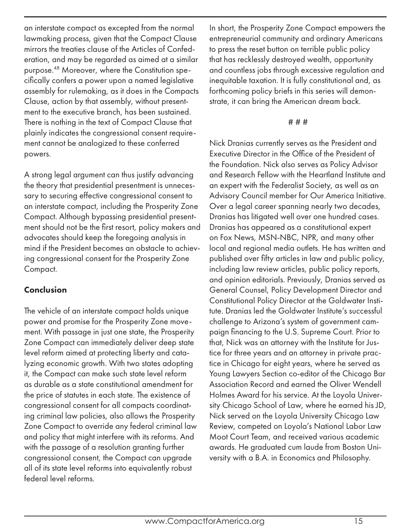an interstate compact as excepted from the normal lawmaking process, given that the Compact Clause mirrors the treaties clause of the Articles of Confederation, and may be regarded as aimed at a similar purpose.48 Moreover, where the Constitution specifically confers a power upon a named legislative assembly for rulemaking, as it does in the Compacts Clause, action by that assembly, without presentment to the executive branch, has been sustained. There is nothing in the text of Compact Clause that plainly indicates the congressional consent requirement cannot be analogized to these conferred powers.

A strong legal argument can thus justify advancing the theory that presidential presentment is unnecessary to securing effective congressional consent to an interstate compact, including the Prosperity Zone Compact. Although bypassing presidential presentment should not be the first resort, policy makers and advocates should keep the foregoing analysis in mind if the President becomes an obstacle to achieving congressional consent for the Prosperity Zone Compact.

#### **Conclusion**

The vehicle of an interstate compact holds unique power and promise for the Prosperity Zone movement. With passage in just one state, the Prosperity Zone Compact can immediately deliver deep state level reform aimed at protecting liberty and catalyzing economic growth. With two states adopting it, the Compact can make such state level reform as durable as a state constitutional amendment for the price of statutes in each state. The existence of congressional consent for all compacts coordinating criminal law policies, also allows the Prosperity Zone Compact to override any federal criminal law and policy that might interfere with its reforms. And with the passage of a resolution granting further congressional consent, the Compact can upgrade all of its state level reforms into equivalently robust federal level reforms.

In short, the Prosperity Zone Compact empowers the entrepreneurial community and ordinary Americans to press the reset button on terrible public policy that has recklessly destroyed wealth, opportunity and countless jobs through excessive regulation and inequitable taxation. It is fully constitutional and, as forthcoming policy briefs in this series will demonstrate, it can bring the American dream back.

#### # # #

Nick Dranias currently serves as the President and Executive Director in the Office of the President of the Foundation. Nick also serves as Policy Advisor and Research Fellow with the Heartland Institute and an expert with the Federalist Society, as well as an Advisory Council member for Our America Initiative. Over a legal career spanning nearly two decades, Dranias has litigated well over one hundred cases. Dranias has appeared as a constitutional expert on Fox News, MSN-NBC, NPR, and many other local and regional media outlets. He has written and published over fifty articles in law and public policy, including law review articles, public policy reports, and opinion editorials. Previously, Dranias served as General Counsel, Policy Development Director and Constitutional Policy Director at the Goldwater Institute. Dranias led the Goldwater Institute's successful challenge to Arizona's system of government campaign financing to the U.S. Supreme Court. Prior to that, Nick was an attorney with the Institute for Justice for three years and an attorney in private practice in Chicago for eight years, where he served as Young Lawyers Section co-editor of the Chicago Bar Association Record and earned the Oliver Wendell Holmes Award for his service. At the Loyola University Chicago School of Law, where he earned his JD, Nick served on the Loyola University Chicago Law Review, competed on Loyola's National Labor Law Moot Court Team, and received various academic awards. He graduated cum laude from Boston University with a B.A. in Economics and Philosophy.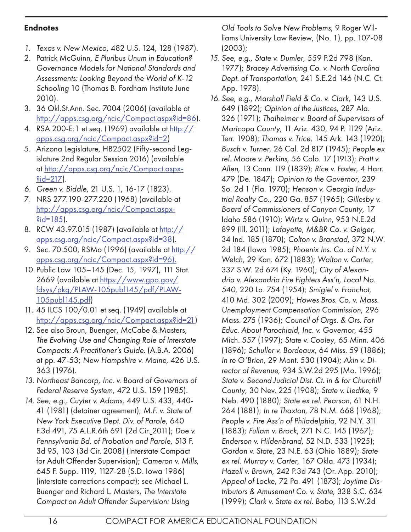#### **Endnotes**

- *1. Texas v. New Mexico*, 482 U.S. 124, 128 (1987).
- 2. Patrick McGuinn, *E Pluribus Unum in Education? Governance Models for National Standards and Assessments: Looking Beyond the World of K-12 Schooling* 10 (Thomas B. Fordham Institute June 2010).
- 3. 36 Okl.St.Ann. Sec. 7004 (2006) (available at http://apps.csg.org/ncic/Compact.aspx?id=86).
- 4. RSA 200-E:1 et seq. (1969) available at http:// apps.csg.org/ncic/Compact.aspx?id=2)
- 5. Arizona Legislature, HB2502 (Fifty-second Legislature 2nd Regular Session 2016) (available at http://apps.csg.org/ncic/Compact.aspx- ?id=217).
- *6. Green v. Biddle*, 21 U.S. 1, 16-17 (1823).
- 7. NRS 277.190-277.220 (1968) (available at http://apps.csg.org/ncic/Compact.aspx-  $?id=185$ ).
- 8. RCW 43.97.015 (1987) (available at http:// apps.csg.org/ncic/Compact.aspx?id=38).
- 9. Sec. 70.500, RSMo (1996) (available at http:// apps.csg.org/ncic/Compact.aspx?id=96).
- 10. Public Law 105–145 (Dec. 15, 1997), 111 Stat. 2669 (available at https://www.gpo.gov/ fdsys/pkg/PLAW-105publ145/pdf/PLAW-105publ145.pdf)
- 11. 45 ILCS 100/0.01 et seq. (1949) available at http://apps.csg.org/ncic/Compact.aspx?id=21)
- 12. See also Broun, Buenger, McCabe & Masters, *The Evolving Use and Changing Role of Interstate Compacts: A Practitioner's Guide*. (A.B.A. 2006) at pp. 47-53; *New Hampshire v. Maine*, 426 U.S. 363 (1976).
- *13. Northeast Bancorp, Inc. v. Board of Governors of Federal Reserve System*, 472 U.S. 159 (1985).
- *14. See, e.g.*, *Cuyler v. Adams*, 449 U.S. 433, 440- 41 (1981) (detainer agreement); *M.F. v. State of New York Executive Dept. Div. of Parole*, 640 F.3d 491, 75 A.L.R.6th 691 (2d Cir. 2011); *Doe v. Pennsylvania Bd. of Probation and Parole*, 513 F. 3d 95, 103 (3d Cir. 2008) (Interstate Compact for Adult Offender Supervision); *Cameron v. Mills*, 645 F. Supp. 1119, 1127-28 (S.D. Iowa 1986) (interstate corrections compact); see Michael L. Buenger and Richard L. Masters, *The Interstate Compact on Adult Offender Supervision: Using*

*Old Tools to Solve New Problems*, 9 Roger Williams University Law Review, (No. 1), pp. 107-08 (2003);

- *15. See, e.g.*, *State v. Dumler*, 559 P.2d 798 (Kan. 1977); *Bracey Advertising Co. v. North Carolina Dept. of Transportation*, 241 S.E.2d 146 (N.C. Ct. App. 1978).
- *16. See, e.g.*, *Marshall Field & Co. v. Clark*, 143 U.S. 649 (1892); *Opinion of the Justices*, 287 Ala. 326 (1971); *Thalheimer v. Board of Supervisors of Maricopa County*, 11 Ariz. 430, 94 P. 1129 (Ariz. Terr. 1908); *Thomas v. Trice*, 145 Ark. 143 (1920); *Busch v. Turner*, 26 Cal. 2d 817 (1945); *People ex rel. Moore v. Perkins*, 56 Colo. 17 (1913); *Pratt v. Allen*, 13 Conn. 119 (1839); *Rice v. Foster*, 4 Harr. 479 (De. 1847); *Opinion to the Governor*, 239 So. 2d 1 (Fla. 1970); *Henson v. Georgia Industrial Realty Co.*, 220 Ga. 857 (1965); *Gillesby v. Board of Commissioners of Canyon County*, 17 Idaho 586 (1910); *Wirtz v. Quinn*, 953 N.E.2d 899 (Ill. 2011); *Lafayette, M&BR Co. v. Geiger*, 34 Ind. 185 (1870); *Colton v. Branstad*, 372 N.W. 2d 184 (Iowa 1985); *Phoenix Ins. Co. of N.Y. v. Welch*, 29 Kan. 672 (1883); *Walton v. Carter*, 337 S.W. 2d 674 (Ky. 1960); *City of Alexandria v. Alexandria Fire Fighters Ass'n, Local No. 540*, 220 La. 754 (1954); *Smigiel v. Franchot*, 410 Md. 302 (2009); *Howes Bros. Co. v. Mass. Unemployment Compensation Commission*, 296 Mass. 275 (1936); *Council of Orgs. & Ors. For Educ. About Parochiaid, Inc. v. Governor*, 455 Mich. 557 (1997); *State v. Cooley*, 65 Minn. 406 (1896); *Schuller v. Bordeaux*, 64 Miss. 59 (1886); *In re O'Brien*, 29 Mont. 530 (1904); *Akin v. Director of Revenue*, 934 S.W.2d 295 (Mo. 1996); *State v. Second Judicial Dist. Ct. in & for Churchill County*, 30 Nev. 225 (1908); *State v. Liedtke*, 9 Neb. 490 (1880); *State ex rel. Pearson*, 61 N.H. 264 (1881); *In re Thaxton*, 78 N.M. 668 (1968); *People v. Fire Ass'n of Philadelphia*, 92 N.Y. 311 (1883); *Fullam v. Brock*, 271 N.C. 145 (1967); *Enderson v. Hildenbrand*, 52 N.D. 533 (1925); *Gordon v. State*, 23 N.E. 63 (Ohio 1889); *State ex rel. Murray v. Carter*, 167 Okla. 473 (1934); *Hazell v. Brown*, 242 P.3d 743 (Or. App. 2010); *Appeal of Locke*, 72 Pa. 491 (1873); *Joytime Distributors & Amusement Co. v. State*, 338 S.C. 634 (1999); *Clark v. State ex rel. Bobo*, 113 S.W.2d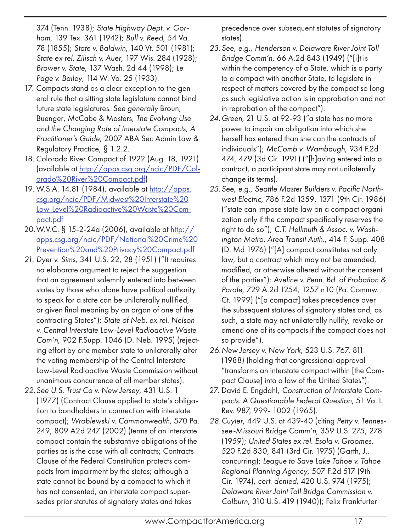374 (Tenn. 1938); *State Highway Dept. v. Gorham*, 139 Tex. 361 (1942); *Bull v. Reed*, 54 Va. 78 (1855); *State v. Baldwin*, 140 Vt. 501 (1981); *State ex rel. Zilisch v. Auer*, 197 Wis. 284 (1928); *Brower v. State*, 137 Wash. 2d 44 (1998); *Le Page v. Bailey*, 114 W. Va. 25 (1933).

- 17. Compacts stand as a clear exception to the general rule that a sitting state legislature cannot bind future state legislatures. *See generally* Broun, Buenger, McCabe & Masters, *The Evolving Use and the Changing Role of Interstate Compacts, A Practitioner's Guide*, 2007 ABA Sec Admin Law & Regulatory Practice, § 1.2.2.
- 18. Colorado River Compact of 1922 (Aug. 18, 1921) (available at http://apps.csg.org/ncic/PDF/Colorado%20River%20Compact.pdf)
- 19. W.S.A. 14.81 (1984), available at http://apps. csg.org/ncic/PDF/Midwest%20Interstate%20 Low-Level%20Radioactive%20Waste%20Compact.pdf
- 20. W.V.C. § 15-2-24a (2006), available at http:// apps.csg.org/ncic/PDF/National%20Crime%20 Prevention%20and%20Privacy%20Compact.pdf
- *21. Dyer v. Sims*, 341 U.S. 22, 28 (1951) ("It requires no elaborate argument to reject the suggestion that an agreement solemnly entered into between states by those who alone have political authority to speak for a state can be unilaterally nullified, or given final meaning by an organ of one of the contracting States"); *State of Neb. ex rel. Nelson v. Central Interstate Low-Level Radioactive Waste Com'n*, 902 F.Supp. 1046 (D. Neb. 1995) (rejecting effort by one member state to unilaterally alter the voting membership of the Central Interstate Low-Level Radioactive Waste Commission without unanimous concurrence of all member states).
- *22.See U.S. Trust Co v. New Jersey*, 431 U.S. 1 (1977) (Contract Clause applied to state's obligation to bondholders in connection with interstate compact); *Wroblewski v. Commonwealth*, 570 Pa. 249, 809 A2d 247 (2002) (terms of an interstate compact contain the substantive obligations of the parties as is the case with all contracts; Contracts Clause of the Federal Constitution protects compacts from impairment by the states; although a state cannot be bound by a compact to which it has not consented, an interstate compact supersedes prior statutes of signatory states and takes

precedence over subsequent statutes of signatory states).

- *23.See, e.g*., *Henderson v. Delaware River Joint Toll Bridge Comm'n*, 66 A.2d 843 (1949) ("[i]t is within the competency of a State, which is a party to a compact with another State, to legislate in respect of matters covered by the compact so long as such legislative action is in approbation and not in reprobation of the compact").
- *24.Green*, 21 U.S. at 92-93 ("a state has no more power to impair an obligation into which she herself has entered than she can the contracts of individuals"); *McComb v. Wambaugh*, 934 F.2d 474, 479 (3d Cir. 1991) ("[h]aving entered into a contract, a participant state may not unilaterally change its terms).
- *25.See, e.g.*, *Seattle Master Builders v. Pacific Northwest Electric*, 786 F.2d 1359, 1371 (9th Cir. 1986) ("state can impose state law on a compact organization only if the compact specifically reserves the right to do so"); *C.T. Hellmuth & Assoc. v. Washington Metro. Area Transit Auth*., 414 F. Supp. 408 (D. Md 1976) ("[A] compact constitutes not only law, but a contract which may not be amended, modified, or otherwise altered without the consent of the parties"); *Aveline v. Penn. Bd. of Probation & Parole*, 729 A.2d 1254, 1257 n10 (Pa. Commw. Ct. 1999) ("[a compact] takes precedence over the subsequent statutes of signatory states and, as such, a state may not unilaterally nullify, revoke or amend one of its compacts if the compact does not so provide").
- *26.New Jersey v. New York*, 523 U.S. 767, 811 (1988) (holding that congressional approval "transforms an interstate compact within [the Compact Clause] into a law of the United States").
- 27. David E. Engdahl, *Construction of Interstate Compacts: A Questionable Federal Question*, 51 Va. L. Rev. 987, 999- 1002 (1965).
- *28.Cuyler*, 449 U.S. at 439-40 (citing *Petty v. Tennessee-Missouri Bridge Comm'n*, 359 U.S. 275, 278 (1959); *United States ex rel. Esola v. Groomes*, 520 F.2d 830, 841 (3rd Cir. 1975) (Garth, J., concurring); *League to Save Lake Tahoe v. Tahoe Regional Planning Agency*, 507 F.2d 517 (9th Cir. 1974), *cert. denied*, 420 U.S. 974 (1975); *Delaware River Joint Toll Bridge Commission v. Colburn*, 310 U.S. 419 (1940)); Felix Frankfurter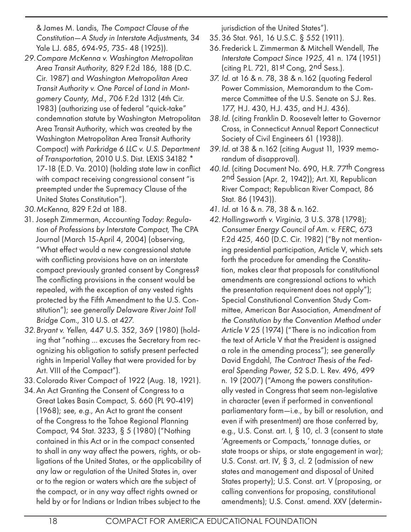& James M. Landis, *The Compact Clause of the Constitution—A Study in Interstate Adjustments*, 34 Yale L.J. 685, 694-95, 735- 48 (1925)).

- *29.Compare McKenna v. Washington Metropolitan Area Transit Authority*, 829 F.2d 186, 188 (D.C. Cir. 1987) and *Washington Metropolitan Area Transit Authority v. One Parcel of Land in Montgomery County, Md.*, 706 F.2d 1312 (4th Cir. 1983) (authorizing use of federal "quick-take" condemnation statute by Washington Metropolitan Area Transit Authority, which was created by the Washington Metropolitan Area Transit Authority Compact) *with Parkridge 6 LLC v. U.S. Department of Transportation*, 2010 U.S. Dist. LEXIS 34182 \* 17-18 (E.D. Va. 2010) (holding state law in conflict with compact receiving congressional consent "is preempted under the Supremacy Clause of the United States Constitution").
- *30.McKenna*, 829 F.2d at 188.
- 31. Joseph Zimmerman, *Accounting Today: Regulation of Professions by Interstate Compact*, The CPA Journal (March 15-April 4, 2004) (observing, "What effect would a new congressional statute with conflicting provisions have on an interstate compact previously granted consent by Congress? The conflicting provisions in the consent would be repealed, with the exception of any vested rights protected by the Fifth Amendment to the U.S. Constitution"); *see generally Delaware River Joint Toll Bridge Com.*, 310 U.S. at 427.
- *32.Bryant v. Yellen*, 447 U.S. 352, 369 (1980) (holding that "nothing ... excuses the Secretary from recognizing his obligation to satisfy present perfected rights in Imperial Valley that were provided for by Art. VIII of the Compact").
- 33.Colorado River Compact of 1922 (Aug. 18, 1921).
- 34.An Act Granting the Consent of Congress to a Great Lakes Basin Compact, S. 660 (PL 90-419) (1968); *see, e.g.*, An Act to grant the consent of the Congress to the Tahoe Regional Planning Compact, 94 Stat. 3233, § 5 (1980) ("Nothing contained in this Act or in the compact consented to shall in any way affect the powers, rights, or obligations of the United States, or the applicability of any law or regulation of the United States in, over or to the region or waters which are the subject of the compact, or in any way affect rights owned or held by or for Indians or Indian tribes subject to the

jurisdiction of the United States").

- 35.36 Stat. 961, 16 U.S.C. § 552 (1911).
- 36.Frederick L. Zimmerman & Mitchell Wendell, *The Interstate Compact Since 1925*, 41 n. 174 (1951) (citing P.L. 721, 81st Cong, 2nd Sess.).
- *37. Id.* at 16 & n. 78, 38 & n.162 (quoting Federal Power Commission, Memorandum to the Commerce Committee of the U.S. Senate on S.J. Res. 177, H.J. 430, H.J. 435, and H.J. 436).
- *38.Id.* (citing Franklin D. Roosevelt letter to Governor Cross, in Connecticut Annual Report Connecticut Society of Civil Engineers 61 (1938)).
- *39.Id.* at 38 & n.162 (citing August 11, 1939 memorandum of disapproval).
- *40.Id.* (citing Document No. 690, H.R. 77th Congress 2<sup>nd</sup> Session (Apr. 2, 1942)); Art. XI, Republican River Compact; Republican River Compact, 86 Stat. 86 (1943)).
- *41. Id.* at 16 & n. 78, 38 & n.162.
- *42.Hollingsworth v. Virginia*, 3 U.S. 378 (1798); *Consumer Energy Council of Am. v. FERC*, 673 F.2d 425, 460 (D.C. Cir. 1982) ("By not mentioning presidential participation, Article V, which sets forth the procedure for amending the Constitution, makes clear that proposals for constitutional amendments are congressional actions to which the presentation requirement does not apply"); Special Constitutional Convention Study Committee, American Bar Association, *Amendment of the Constitution by the Convention Method under Article V* 25 (1974) ("There is no indication from the text of Article V that the President is assigned a role in the amending process"); *see generally*  David Engdahl, *The Contract Thesis of the Federal Spending Power*, 52 S.D. L. Rev. 496, 499 n. 19 (2007) ("Among the powers constitutionally vested in Congress that seem non-legislative in character (even if performed in conventional parliamentary form—i.e., by bill or resolution, and even if with presentment) are those conferred by, e.g., U.S. Const. art. I, § 10, cl. 3 (consent to state 'Agreements or Compacts,' tonnage duties, or state troops or ships, or state engagement in war); U.S. Const. art. IV, § 3, cl. 2 (admission of new states and management and disposal of United States property); U.S. Const. art. V (proposing, or calling conventions for proposing, constitutional amendments); U.S. Const. amend. XXV (determin-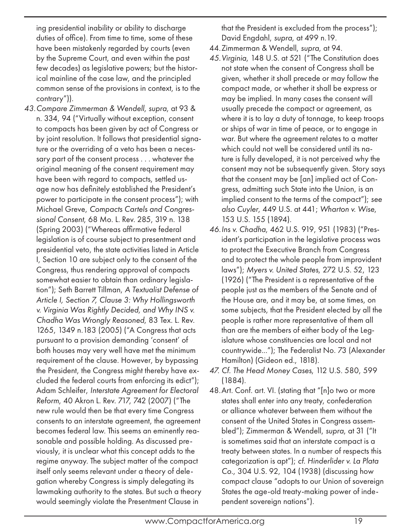ing presidential inability or ability to discharge duties of office). From time to time, some of these have been mistakenly regarded by courts (even by the Supreme Court, and even within the past few decades) as legislative powers; but the historical mainline of the case law, and the principled common sense of the provisions in context, is to the contrary")).

*43.Compare Zimmerman & Wendell*, *supra*, at 93 & n. 334, 94 ("Virtually without exception, consent to compacts has been given by act of Congress or by joint resolution. It follows that presidential signature or the overriding of a veto has been a necessary part of the consent process . . . whatever the original meaning of the consent requirement may have been with regard to compacts, settled usage now has definitely established the President's power to participate in the consent process"); with Michael Greve, *Compacts Cartels and Congressional Consent*, 68 Mo. L. Rev. 285, 319 n. 138 (Spring 2003) ("Whereas affirmative federal legislation is of course subject to presentment and presidential veto, the state activities listed in Article I, Section 10 are subject only to the consent of the Congress, thus rendering approval of compacts somewhat easier to obtain than ordinary legislation"); Seth Barrett Tillman, *A Textualist Defense of Article I, Section 7, Clause 3: Why Hollingsworth v. Virginia Was Rightly Decided, and Why INS v. Chadha Was Wrongly Reasoned*, 83 Tex. L. Rev. 1265, 1349 n.183 (2005) ("A Congress that acts pursuant to a provision demanding 'consent' of both houses may very well have met the minimum requirement of the clause. However, by bypassing the President, the Congress might thereby have excluded the federal courts from enforcing its edict"); Adam Schleifer, *Interstate Agreement for Electoral Reform*, 40 Akron L. Rev. 717, 742 (2007) ("The new rule would then be that every time Congress consents to an interstate agreement, the agreement becomes federal law. This seems an eminently reasonable and possible holding. As discussed previously, it is unclear what this concept adds to the regime anyway. The subject matter of the compact itself only seems relevant under a theory of delegation whereby Congress is simply delegating its lawmaking authority to the states. But such a theory would seemingly violate the Presentment Clause in

that the President is excluded from the process"); David Engdahl, *supra*, at 499 n.19.

- 44.Zimmerman & Wendell, *supra*, at 94.
- *45.Virginia*, 148 U.S. at 521 ("The Constitution does not state when the consent of Congress shall be given, whether it shall precede or may follow the compact made, or whether it shall be express or may be implied. In many cases the consent will usually precede the compact or agreement, as where it is to lay a duty of tonnage, to keep troops or ships of war in time of peace, or to engage in war. But where the agreement relates to a matter which could not well be considered until its nature is fully developed, it is not perceived why the consent may not be subsequently given. Story says that the consent may be [an] implied act of Congress, admitting such State into the Union, is an implied consent to the terms of the compact"); *see also Cuyler*, 449 U.S. at 441; *Wharton v. Wise*, 153 U.S. 155 (1894).
- *46.Ins v. Chadha*, 462 U.S. 919, 951 (1983) ("President's participation in the legislative process was to protect the Executive Branch from Congress and to protect the whole people from improvident laws"); *Myers v. United States*, 272 U.S. 52, 123 (1926) ("The President is a representative of the people just as the members of the Senate and of the House are, and it may be, at some times, on some subjects, that the President elected by all the people is rather more representative of them all than are the members of either body of the Legislature whose constituencies are local and not countrywide..."); The Federalist No. 73 (Alexander Hamilton) (Gideon ed., 1818).
- *47. Cf. The Head Money Cases*, 112 U.S. 580, 599 (1884).
- 48.Art. Conf. art. VI. (stating that "[n]o two or more states shall enter into any treaty, confederation or alliance whatever between them without the consent of the United States in Congress assembled"); Zimmerman & Wendell, *supra*, at 31 ("It is sometimes said that an interstate compact is a treaty between states. In a number of respects this categorization is apt"); *cf. Hinderlider v. La Plata Co.*, 304 U.S. 92, 104 (1938) (discussing how compact clause "adopts to our Union of sovereign States the age-old treaty-making power of independent sovereign nations").